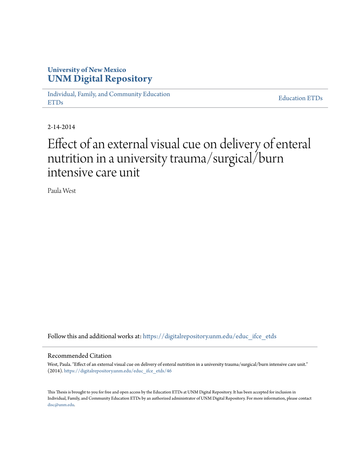# **University of New Mexico [UNM Digital Repository](https://digitalrepository.unm.edu?utm_source=digitalrepository.unm.edu%2Feduc_ifce_etds%2F46&utm_medium=PDF&utm_campaign=PDFCoverPages)**

[Individual, Family, and Community Education](https://digitalrepository.unm.edu/educ_ifce_etds?utm_source=digitalrepository.unm.edu%2Feduc_ifce_etds%2F46&utm_medium=PDF&utm_campaign=PDFCoverPages) [ETDs](https://digitalrepository.unm.edu/educ_ifce_etds?utm_source=digitalrepository.unm.edu%2Feduc_ifce_etds%2F46&utm_medium=PDF&utm_campaign=PDFCoverPages)

[Education ETDs](https://digitalrepository.unm.edu/educ_etds?utm_source=digitalrepository.unm.edu%2Feduc_ifce_etds%2F46&utm_medium=PDF&utm_campaign=PDFCoverPages)

2-14-2014

# Effect of an external visual cue on delivery of enteral nutrition in a university trauma/surgical/burn intensive care unit

Paula West

Follow this and additional works at: [https://digitalrepository.unm.edu/educ\\_ifce\\_etds](https://digitalrepository.unm.edu/educ_ifce_etds?utm_source=digitalrepository.unm.edu%2Feduc_ifce_etds%2F46&utm_medium=PDF&utm_campaign=PDFCoverPages)

#### Recommended Citation

West, Paula. "Effect of an external visual cue on delivery of enteral nutrition in a university trauma/surgical/burn intensive care unit." (2014). [https://digitalrepository.unm.edu/educ\\_ifce\\_etds/46](https://digitalrepository.unm.edu/educ_ifce_etds/46?utm_source=digitalrepository.unm.edu%2Feduc_ifce_etds%2F46&utm_medium=PDF&utm_campaign=PDFCoverPages)

This Thesis is brought to you for free and open access by the Education ETDs at UNM Digital Repository. It has been accepted for inclusion in Individual, Family, and Community Education ETDs by an authorized administrator of UNM Digital Repository. For more information, please contact [disc@unm.edu](mailto:disc@unm.edu).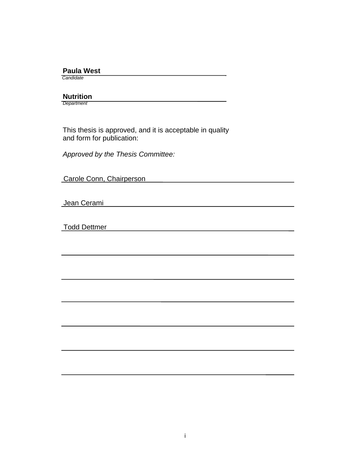#### **Paula West**

 *Candidate*

 **Nutrition**

*Department*

 This thesis is approved, and it is acceptable in quality and form for publication:

*Approved by the Thesis Committee:*

Carole Conn, Chairperson

Jean Cerami

Todd Dettmer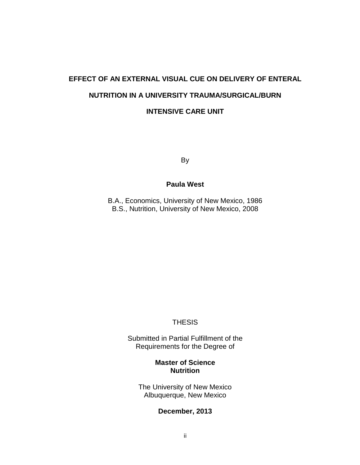# **EFFECT OF AN EXTERNAL VISUAL CUE ON DELIVERY OF ENTERAL NUTRITION IN A UNIVERSITY TRAUMA/SURGICAL/BURN INTENSIVE CARE UNIT**

By

### **Paula West**

B.A., Economics, University of New Mexico, 1986 B.S., Nutrition, University of New Mexico, 2008

### **THESIS**

Submitted in Partial Fulfillment of the Requirements for the Degree of

# **Master of Science Nutrition**

The University of New Mexico Albuquerque, New Mexico

#### **December, 2013**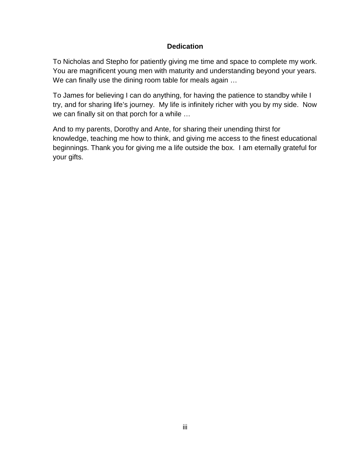## **Dedication**

To Nicholas and Stepho for patiently giving me time and space to complete my work. You are magnificent young men with maturity and understanding beyond your years. We can finally use the dining room table for meals again …

To James for believing I can do anything, for having the patience to standby while I try, and for sharing life's journey. My life is infinitely richer with you by my side. Now we can finally sit on that porch for a while …

And to my parents, Dorothy and Ante, for sharing their unending thirst for knowledge, teaching me how to think, and giving me access to the finest educational beginnings. Thank you for giving me a life outside the box. I am eternally grateful for your gifts.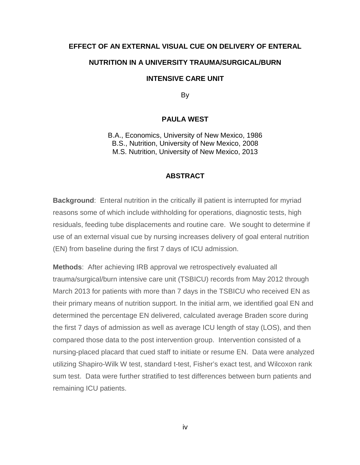#### **EFFECT OF AN EXTERNAL VISUAL CUE ON DELIVERY OF ENTERAL**

#### **NUTRITION IN A UNIVERSITY TRAUMA/SURGICAL/BURN**

#### **INTENSIVE CARE UNIT**

By

#### **PAULA WEST**

B.A., Economics, University of New Mexico, 1986 B.S., Nutrition, University of New Mexico, 2008 M.S. Nutrition, University of New Mexico, 2013

#### **ABSTRACT**

**Background**: Enteral nutrition in the critically ill patient is interrupted for myriad reasons some of which include withholding for operations, diagnostic tests, high residuals, feeding tube displacements and routine care. We sought to determine if use of an external visual cue by nursing increases delivery of goal enteral nutrition (EN) from baseline during the first 7 days of ICU admission.

**Methods**: After achieving IRB approval we retrospectively evaluated all trauma/surgical/burn intensive care unit (TSBICU) records from May 2012 through March 2013 for patients with more than 7 days in the TSBICU who received EN as their primary means of nutrition support. In the initial arm, we identified goal EN and determined the percentage EN delivered, calculated average Braden score during the first 7 days of admission as well as average ICU length of stay (LOS), and then compared those data to the post intervention group. Intervention consisted of a nursing-placed placard that cued staff to initiate or resume EN. Data were analyzed utilizing Shapiro-Wilk W test, standard t-test, Fisher's exact test, and Wilcoxon rank sum test. Data were further stratified to test differences between burn patients and remaining ICU patients.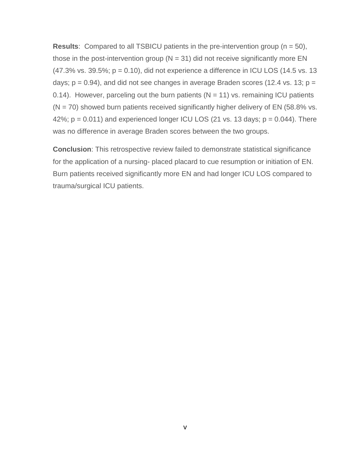**Results**: Compared to all TSBICU patients in the pre-intervention group (n = 50), those in the post-intervention group ( $N = 31$ ) did not receive significantly more EN  $(47.3\% \text{ vs. } 39.5\%; p = 0.10)$ , did not experience a difference in ICU LOS  $(14.5 \text{ vs. } 13)$ days;  $p = 0.94$ ), and did not see changes in average Braden scores (12.4 vs. 13;  $p =$ 0.14). However, parceling out the burn patients ( $N = 11$ ) vs. remaining ICU patients  $(N = 70)$  showed burn patients received significantly higher delivery of EN (58.8% vs. 42%;  $p = 0.011$ ) and experienced longer ICU LOS (21 vs. 13 days;  $p = 0.044$ ). There was no difference in average Braden scores between the two groups.

**Conclusion**: This retrospective review failed to demonstrate statistical significance for the application of a nursing- placed placard to cue resumption or initiation of EN. Burn patients received significantly more EN and had longer ICU LOS compared to trauma/surgical ICU patients.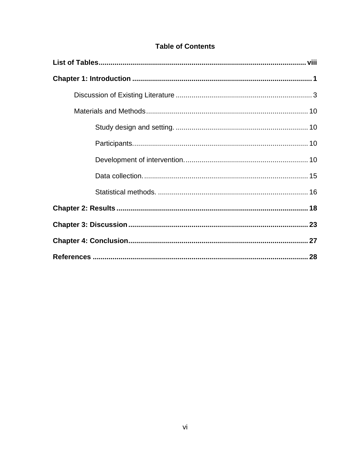|  | <b>Table of Contents</b> |
|--|--------------------------|
|--|--------------------------|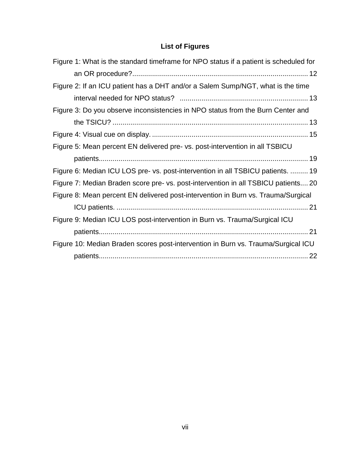# **List of Figures**

| Figure 1: What is the standard timeframe for NPO status if a patient is scheduled for |  |
|---------------------------------------------------------------------------------------|--|
|                                                                                       |  |
| Figure 2: If an ICU patient has a DHT and/or a Salem Sump/NGT, what is the time       |  |
|                                                                                       |  |
| Figure 3: Do you observe inconsistencies in NPO status from the Burn Center and       |  |
|                                                                                       |  |
|                                                                                       |  |
| Figure 5: Mean percent EN delivered pre- vs. post-intervention in all TSBICU          |  |
|                                                                                       |  |
| Figure 6: Median ICU LOS pre- vs. post-intervention in all TSBICU patients.  19       |  |
| Figure 7: Median Braden score pre- vs. post-intervention in all TSBICU patients 20    |  |
| Figure 8: Mean percent EN delivered post-intervention in Burn vs. Trauma/Surgical     |  |
|                                                                                       |  |
| Figure 9: Median ICU LOS post-intervention in Burn vs. Trauma/Surgical ICU            |  |
|                                                                                       |  |
| Figure 10: Median Braden scores post-intervention in Burn vs. Trauma/Surgical ICU     |  |
|                                                                                       |  |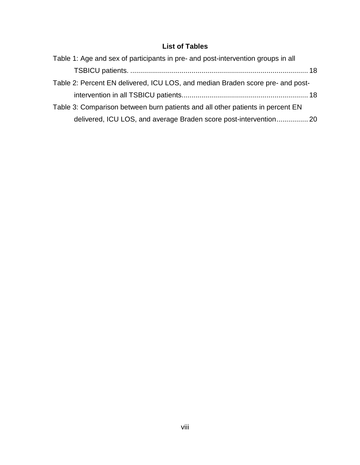# **List of Tables**

<span id="page-8-0"></span>

| Table 1: Age and sex of participants in pre- and post-intervention groups in all |  |
|----------------------------------------------------------------------------------|--|
|                                                                                  |  |
| Table 2: Percent EN delivered, ICU LOS, and median Braden score pre- and post-   |  |
|                                                                                  |  |
| Table 3: Comparison between burn patients and all other patients in percent EN   |  |
| delivered, ICU LOS, and average Braden score post-intervention 20                |  |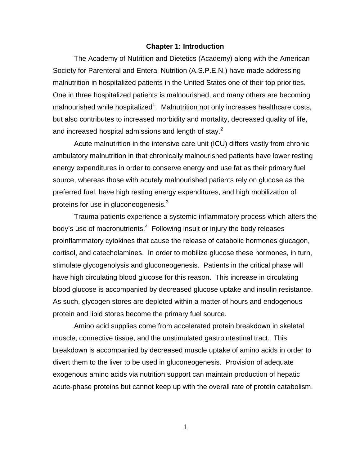#### **Chapter 1: Introduction**

<span id="page-9-0"></span>The Academy of Nutrition and Dietetics (Academy) along with the American Society for Parenteral and Enteral Nutrition (A.S.P.E.N.) have made addressing malnutrition in hospitalized patients in the United States one of their top priorities. One in three hospitalized patients is malnourished, and many others are becoming malnourished while hospitalized<sup>1</sup>. Malnutrition not only increases healthcare costs, but also contributes to increased morbidity and mortality, decreased quality of life, and increased hospital admissions and length of stay.<sup>2</sup>

Acute malnutrition in the intensive care unit (ICU) differs vastly from chronic ambulatory malnutrition in that chronically malnourished patients have lower resting energy expenditures in order to conserve energy and use fat as their primary fuel source, whereas those with acutely malnourished patients rely on glucose as the preferred fuel, have high resting energy expenditures, and high mobilization of proteins for use in gluconeogenesis. $^3$ 

Trauma patients experience a systemic inflammatory process which alters the body's use of macronutrients.<sup>4</sup> Following insult or injury the body releases proinflammatory cytokines that cause the release of catabolic hormones glucagon, cortisol, and catecholamines. In order to mobilize glucose these hormones, in turn, stimulate glycogenolysis and gluconeogenesis. Patients in the critical phase will have high circulating blood glucose for this reason. This increase in circulating blood glucose is accompanied by decreased glucose uptake and insulin resistance. As such, glycogen stores are depleted within a matter of hours and endogenous protein and lipid stores become the primary fuel source.

Amino acid supplies come from accelerated protein breakdown in skeletal muscle, connective tissue, and the unstimulated gastrointestinal tract. This breakdown is accompanied by decreased muscle uptake of amino acids in order to divert them to the liver to be used in gluconeogenesis. Provision of adequate exogenous amino acids via nutrition support can maintain production of hepatic acute-phase proteins but cannot keep up with the overall rate of protein catabolism.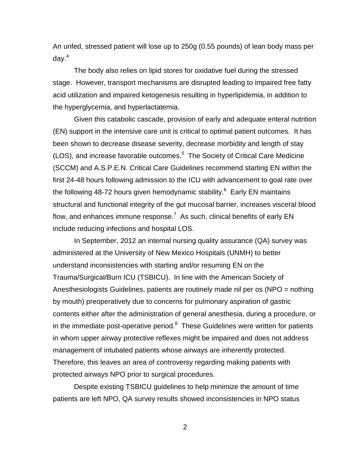An unfed, stressed patient will lose up to 250g (0.55 pounds) of lean body mass per day. 4

The body also relies on lipid stores for oxidative fuel during the stressed stage. However, transport mechanisms are disrupted leading to impaired free fatty acid utilization and impaired ketogenesis resulting in hyperlipidemia, in addition to the hyperglycemia, and hyperlactatemia.

Given this catabolic cascade, provision of early and adequate enteral nutrition (EN) support in the intensive care unit is critical to optimal patient outcomes. It has been shown to decrease disease severity, decrease morbidity and length of stay (LOS), and increase favorable outcomes. 5 The Society of Critical Care Medicine (SCCM) and A.S.P.E.N. Critical Care Guidelines recommend starting EN within the first 24-48 hours following admission to the ICU with advancement to goal rate over the following 48-72 hours given hemodynamic stability.<sup>6</sup> Early EN maintains structural and functional integrity of the gut mucosal barrier, increases visceral blood flow, and enhances immune response.<sup>7</sup> As such, clinical benefits of early EN include reducing infections and hospital LOS.

In September, 2012 an internal nursing quality assurance (QA) survey was administered at the University of New Mexico Hospitals (UNMH) to better understand inconsistencies with starting and/or resuming EN on the Trauma/Surgical/Burn ICU (TSBICU). In line with the American Society of Anesthesiologists Guidelines, patients are routinely made nil per os (NPO = nothing by mouth) preoperatively due to concerns for pulmonary aspiration of gastric contents either after the administration of general anesthesia, during a procedure, or in the immediate post-operative period.<sup>8</sup> These Guidelines were written for patients in whom upper airway protective reflexes might be impaired and does not address management of intubated patients whose airways are inherently protected. Therefore, this leaves an area of controversy regarding making patients with protected airways NPO prior to surgical procedures.

Despite existing TSBICU guidelines to help minimize the amount of time patients are left NPO, QA survey results showed inconsistencies in NPO status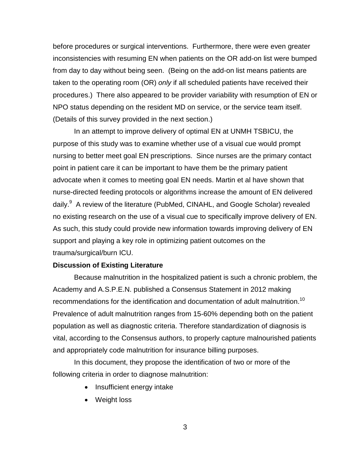before procedures or surgical interventions. Furthermore, there were even greater inconsistencies with resuming EN when patients on the OR add-on list were bumped from day to day without being seen. (Being on the add-on list means patients are taken to the operating room (OR) *only* if all scheduled patients have received their procedures.) There also appeared to be provider variability with resumption of EN or NPO status depending on the resident MD on service, or the service team itself. (Details of this survey provided in the next section.)

In an attempt to improve delivery of optimal EN at UNMH TSBICU, the purpose of this study was to examine whether use of a visual cue would prompt nursing to better meet goal EN prescriptions. Since nurses are the primary contact point in patient care it can be important to have them be the primary patient advocate when it comes to meeting goal EN needs. Martin et al have shown that nurse-directed feeding protocols or algorithms increase the amount of EN delivered daily.<sup>9</sup> A review of the literature (PubMed, CINAHL, and Google Scholar) revealed no existing research on the use of a visual cue to specifically improve delivery of EN. As such, this study could provide new information towards improving delivery of EN support and playing a key role in optimizing patient outcomes on the trauma/surgical/burn ICU.

#### <span id="page-11-0"></span>**Discussion of Existing Literature**

Because malnutrition in the hospitalized patient is such a chronic problem, the Academy and A.S.P.E.N. published a Consensus Statement in 2012 making recommendations for the identification and documentation of adult malnutrition.<sup>10</sup> Prevalence of adult malnutrition ranges from 15-60% depending both on the patient population as well as diagnostic criteria. Therefore standardization of diagnosis is vital, according to the Consensus authors, to properly capture malnourished patients and appropriately code malnutrition for insurance billing purposes.

In this document, they propose the identification of two or more of the following criteria in order to diagnose malnutrition:

- Insufficient energy intake
- Weight loss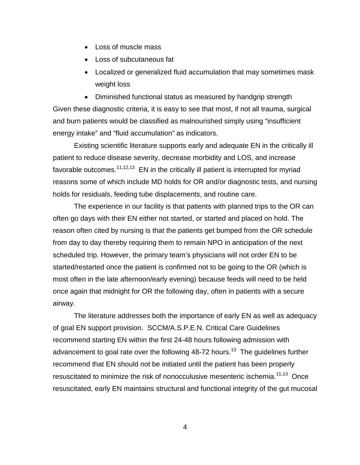- Loss of muscle mass
- Loss of subcutaneous fat
- Localized or generalized fluid accumulation that may sometimes mask weight loss

• Diminished functional status as measured by handgrip strength Given these diagnostic criteria, it is easy to see that most, if not all trauma, surgical and burn patients would be classified as malnourished simply using "insufficient energy intake" and "fluid accumulation" as indicators.

Existing scientific literature supports early and adequate EN in the critically ill patient to reduce disease severity, decrease morbidity and LOS, and increase favorable outcomes. $11,12,13$  EN in the critically ill patient is interrupted for myriad reasons some of which include MD holds for OR and/or diagnostic tests, and nursing holds for residuals, feeding tube displacements, and routine care.

The experience in our facility is that patients with planned trips to the OR can often go days with their EN either not started, or started and placed on hold. The reason often cited by nursing is that the patients get bumped from the OR schedule from day to day thereby requiring them to remain NPO in anticipation of the next scheduled trip. However, the primary team's physicians will not order EN to be started/restarted once the patient is confirmed not to be going to the OR (which is most often in the late afternoon/early evening) because feeds will need to be held once again that midnight for OR the following day, often in patients with a secure airway.

The literature addresses both the importance of early EN as well as adequacy of goal EN support provision. SCCM/A.S.P.E.N. Critical Care Guidelines recommend starting EN within the first 24-48 hours following admission with advancement to goal rate over the following 48-72 hours.<sup>13</sup> The guidelines further recommend that EN should not be initiated until the patient has been properly resuscitated to minimize the risk of nonocculusive mesenteric ischemia.<sup>11,13</sup> Once resuscitated, early EN maintains structural and functional integrity of the gut mucosal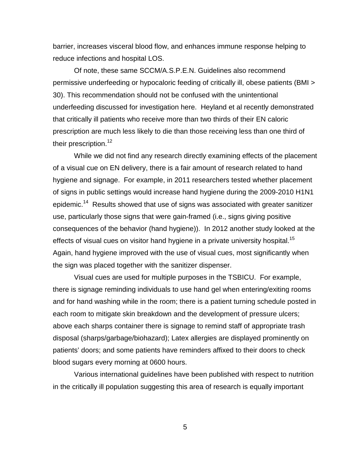barrier, increases visceral blood flow, and enhances immune response helping to reduce infections and hospital LOS.

Of note, these same SCCM/A.S.P.E.N. Guidelines also recommend permissive underfeeding or hypocaloric feeding of critically ill, obese patients (BMI > 30). This recommendation should not be confused with the unintentional underfeeding discussed for investigation here. Heyland et al recently demonstrated that critically ill patients who receive more than two thirds of their EN caloric prescription are much less likely to die than those receiving less than one third of their prescription. 12

While we did not find any research directly examining effects of the placement of a visual cue on EN delivery, there is a fair amount of research related to hand hygiene and signage. For example, in 2011 researchers tested whether placement of signs in public settings would increase hand hygiene during the 2009-2010 H1N1 epidemic.<sup>14</sup> Results showed that use of signs was associated with greater sanitizer use, particularly those signs that were gain-framed (i.e., signs giving positive consequences of the behavior (hand hygiene)). In 2012 another study looked at the effects of visual cues on visitor hand hygiene in a private university hospital.<sup>15</sup> Again, hand hygiene improved with the use of visual cues, most significantly when the sign was placed together with the sanitizer dispenser.

Visual cues are used for multiple purposes in the TSBICU. For example, there is signage reminding individuals to use hand gel when entering/exiting rooms and for hand washing while in the room; there is a patient turning schedule posted in each room to mitigate skin breakdown and the development of pressure ulcers; above each sharps container there is signage to remind staff of appropriate trash disposal (sharps/garbage/biohazard); Latex allergies are displayed prominently on patients' doors; and some patients have reminders affixed to their doors to check blood sugars every morning at 0600 hours.

Various international guidelines have been published with respect to nutrition in the critically ill population suggesting this area of research is equally important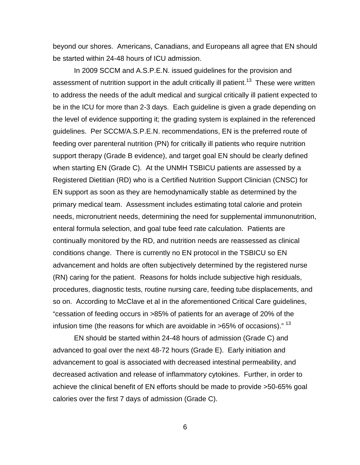beyond our shores. Americans, Canadians, and Europeans all agree that EN should be started within 24-48 hours of ICU admission.

In 2009 SCCM and A.S.P.E.N. issued guidelines for the provision and assessment of nutrition support in the adult critically ill patient.<sup>13</sup> These were written to address the needs of the adult medical and surgical critically ill patient expected to be in the ICU for more than 2-3 days. Each guideline is given a grade depending on the level of evidence supporting it; the grading system is explained in the referenced guidelines. Per SCCM/A.S.P.E.N. recommendations, EN is the preferred route of feeding over parenteral nutrition (PN) for critically ill patients who require nutrition support therapy (Grade B evidence), and target goal EN should be clearly defined when starting EN (Grade C). At the UNMH TSBICU patients are assessed by a Registered Dietitian (RD) who is a Certified Nutrition Support Clinician (CNSC) for EN support as soon as they are hemodynamically stable as determined by the primary medical team. Assessment includes estimating total calorie and protein needs, micronutrient needs, determining the need for supplemental immunonutrition, enteral formula selection, and goal tube feed rate calculation. Patients are continually monitored by the RD, and nutrition needs are reassessed as clinical conditions change. There is currently no EN protocol in the TSBICU so EN advancement and holds are often subjectively determined by the registered nurse (RN) caring for the patient. Reasons for holds include subjective high residuals, procedures, diagnostic tests, routine nursing care, feeding tube displacements, and so on. According to McClave et al in the aforementioned Critical Care guidelines, "cessation of feeding occurs in >85% of patients for an average of 20% of the infusion time (the reasons for which are avoidable in  $>65\%$  of occasions)." <sup>13</sup>

EN should be started within 24-48 hours of admission (Grade C) and advanced to goal over the next 48-72 hours (Grade E). Early initiation and advancement to goal is associated with decreased intestinal permeability, and decreased activation and release of inflammatory cytokines. Further, in order to achieve the clinical benefit of EN efforts should be made to provide >50-65% goal calories over the first 7 days of admission (Grade C).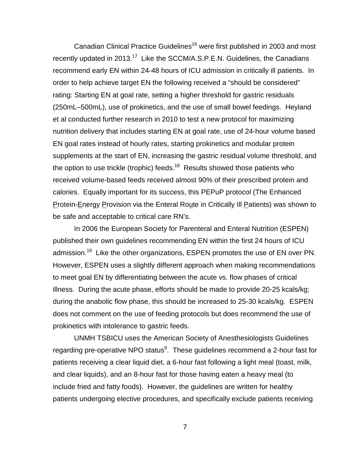Canadian Clinical Practice Guidelines<sup>16</sup> were first published in 2003 and most recently updated in 2013.<sup>17</sup> Like the SCCM/A.S.P.E.N. Guidelines, the Canadians recommend early EN within 24-48 hours of ICU admission in critically ill patients. In order to help achieve target EN the following received a "should be considered" rating: Starting EN at goal rate, setting a higher threshold for gastric residuals (250mL–500mL), use of prokinetics, and the use of small bowel feedings. Heyland et al conducted further research in 2010 to test a new protocol for maximizing nutrition delivery that includes starting EN at goal rate, use of 24-hour volume based EN goal rates instead of hourly rates, starting prokinetics and modular protein supplements at the start of EN, increasing the gastric residual volume threshold, and the option to use trickle (trophic) feeds.<sup>18</sup> Results showed those patients who received volume-based feeds received almost 90% of their prescribed protein and calories. Equally important for its success, this PEPuP protocol (The Enhanced Protein-Energy Provision via the Enteral Route in Critically Ill Patients) was shown to be safe and acceptable to critical care RN's.

In 2006 the European Society for Parenteral and Enteral Nutrition (ESPEN) published their own guidelines recommending EN within the first 24 hours of ICU admission.<sup>19</sup> Like the other organizations, ESPEN promotes the use of EN over PN. However, ESPEN uses a slightly different approach when making recommendations to meet goal EN by differentiating between the acute vs. flow phases of critical illness. During the acute phase, efforts should be made to provide 20-25 kcals/kg; during the anabolic flow phase, this should be increased to 25-30 kcals/kg. ESPEN does not comment on the use of feeding protocols but does recommend the use of prokinetics with intolerance to gastric feeds.

UNMH TSBICU uses the American Society of Anesthesiologists Guidelines regarding pre-operative NPO status<sup>8</sup>. These guidelines recommend a 2-hour fast for patients receiving a clear liquid diet, a 6-hour fast following a light meal (toast, milk, and clear liquids), and an 8-hour fast for those having eaten a heavy meal (to include fried and fatty foods). However, the guidelines are written for healthy patients undergoing elective procedures, and specifically exclude patients receiving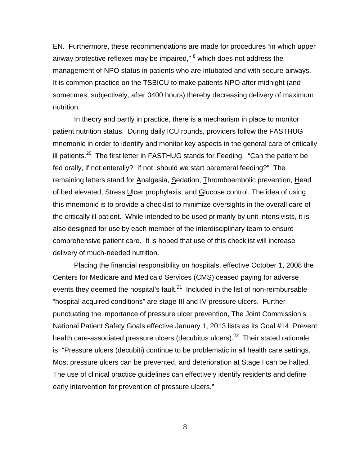EN. Furthermore, these recommendations are made for procedures "in which upper airway protective reflexes may be impaired," <sup>8</sup> which does not address the management of NPO status in patients who are intubated and with secure airways. It is common practice on the TSBICU to make patients NPO after midnight (and sometimes, subjectively, after 0400 hours) thereby decreasing delivery of maximum nutrition.

In theory and partly in practice, there is a mechanism in place to monitor patient nutrition status. During daily ICU rounds, providers follow the FASTHUG mnemonic in order to identify and monitor key aspects in the general care of critically ill patients.<sup>20</sup> The first letter in FASTHUG stands for **Feeding.** "Can the patient be fed orally, if not enterally? If not, should we start parenteral feeding?" The remaining letters stand for Analgesia, Sedation, Thromboembolic prevention, Head of bed elevated, Stress Ulcer prophylaxis, and Glucose control. The idea of using this mnemonic is to provide a checklist to minimize oversights in the overall care of the critically ill patient. While intended to be used primarily by unit intensivists, it is also designed for use by each member of the interdisciplinary team to ensure comprehensive patient care. It is hoped that use of this checklist will increase delivery of much-needed nutrition.

Placing the financial responsibility on hospitals, effective October 1, 2008 the Centers for Medicare and Medicaid Services (CMS) ceased paying for adverse events they deemed the hospital's fault. $^{21}$  Included in the list of non-reimbursable "hospital-acquired conditions" are stage III and IV pressure ulcers. Further punctuating the importance of pressure ulcer prevention, The Joint Commission's National Patient Safety Goals effective January 1, 2013 lists as its Goal #14: Prevent health care-associated pressure ulcers (decubitus ulcers).<sup>22</sup> Their stated rationale is, "Pressure ulcers (decubiti) continue to be problematic in all health care settings. Most pressure ulcers can be prevented, and deterioration at Stage I can be halted. The use of clinical practice guidelines can effectively identify residents and define early intervention for prevention of pressure ulcers."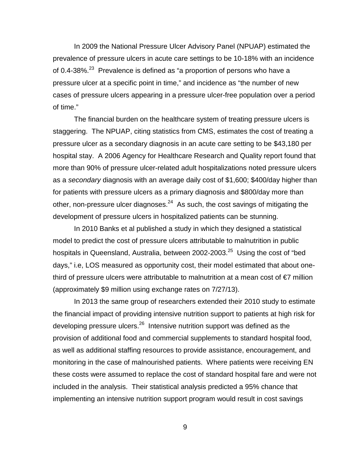In 2009 the National Pressure Ulcer Advisory Panel (NPUAP) estimated the prevalence of pressure ulcers in acute care settings to be 10-18% with an incidence of 0.4-38%.<sup>23</sup> Prevalence is defined as "a proportion of persons who have a pressure ulcer at a specific point in time," and incidence as "the number of new cases of pressure ulcers appearing in a pressure ulcer-free population over a period of time."

The financial burden on the healthcare system of treating pressure ulcers is staggering. The NPUAP, citing statistics from CMS, estimates the cost of treating a pressure ulcer as a secondary diagnosis in an acute care setting to be \$43,180 per hospital stay. A 2006 Agency for Healthcare Research and Quality report found that more than 90% of pressure ulcer-related adult hospitalizations noted pressure ulcers as a *secondary* diagnosis with an average daily cost of \$1,600; \$400/day higher than for patients with pressure ulcers as a primary diagnosis and \$800/day more than other, non-pressure ulcer diagnoses.<sup>24</sup> As such, the cost savings of mitigating the development of pressure ulcers in hospitalized patients can be stunning.

In 2010 Banks et al published a study in which they designed a statistical model to predict the cost of pressure ulcers attributable to malnutrition in public hospitals in Queensland, Australia, between 2002-2003.<sup>25</sup> Using the cost of "bed days," i.e, LOS measured as opportunity cost, their model estimated that about onethird of pressure ulcers were attributable to malnutrition at a mean cost of  $\epsilon$ 7 million (approximately \$9 million using exchange rates on 7/27/13).

In 2013 the same group of researchers extended their 2010 study to estimate the financial impact of providing intensive nutrition support to patients at high risk for developing pressure ulcers.<sup>26</sup> Intensive nutrition support was defined as the provision of additional food and commercial supplements to standard hospital food, as well as additional staffing resources to provide assistance, encouragement, and monitoring in the case of malnourished patients. Where patients were receiving EN these costs were assumed to replace the cost of standard hospital fare and were not included in the analysis. Their statistical analysis predicted a 95% chance that implementing an intensive nutrition support program would result in cost savings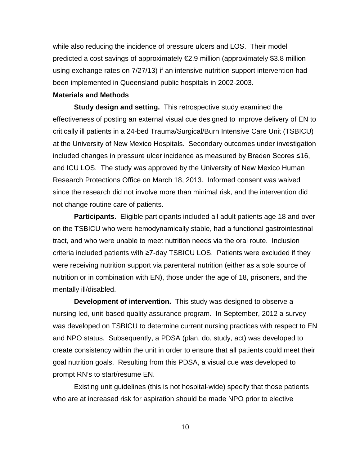while also reducing the incidence of pressure ulcers and LOS. Their model predicted a cost savings of approximately €2.9 million (approximately \$3.8 million using exchange rates on 7/27/13) if an intensive nutrition support intervention had been implemented in Queensland public hospitals in 2002-2003.

#### <span id="page-18-0"></span>**Materials and Methods**

<span id="page-18-1"></span>**Study design and setting.** This retrospective study examined the effectiveness of posting an external visual cue designed to improve delivery of EN to critically ill patients in a 24-bed Trauma/Surgical/Burn Intensive Care Unit (TSBICU) at the University of New Mexico Hospitals. Secondary outcomes under investigation included changes in pressure ulcer incidence as measured by Braden Scores ≤16, and ICU LOS. The study was approved by the University of New Mexico Human Research Protections Office on March 18, 2013. Informed consent was waived since the research did not involve more than minimal risk, and the intervention did not change routine care of patients.

<span id="page-18-2"></span>**Participants.** Eligible participants included all adult patients age 18 and over on the TSBICU who were hemodynamically stable, had a functional gastrointestinal tract, and who were unable to meet nutrition needs via the oral route. Inclusion criteria included patients with ≥7-day TSBICU LOS. Patients were excluded if they were receiving nutrition support via parenteral nutrition (either as a sole source of nutrition or in combination with EN), those under the age of 18, prisoners, and the mentally ill/disabled.

<span id="page-18-3"></span>**Development of intervention.** This study was designed to observe a nursing-led, unit-based quality assurance program. In September, 2012 a survey was developed on TSBICU to determine current nursing practices with respect to EN and NPO status. Subsequently, a PDSA (plan, do, study, act) was developed to create consistency within the unit in order to ensure that all patients could meet their goal nutrition goals. Resulting from this PDSA, a visual cue was developed to prompt RN's to start/resume EN.

Existing unit guidelines (this is not hospital-wide) specify that those patients who are at increased risk for aspiration should be made NPO prior to elective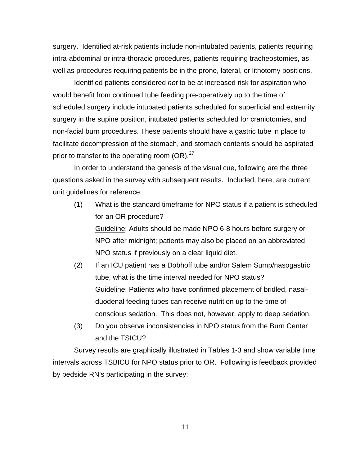surgery. Identified at-risk patients include non-intubated patients, patients requiring intra-abdominal or intra-thoracic procedures, patients requiring tracheostomies, as well as procedures requiring patients be in the prone, lateral, or lithotomy positions.

Identified patients considered *not* to be at increased risk for aspiration who would benefit from continued tube feeding pre-operatively up to the time of scheduled surgery include intubated patients scheduled for superficial and extremity surgery in the supine position, intubated patients scheduled for craniotomies, and non-facial burn procedures. These patients should have a gastric tube in place to facilitate decompression of the stomach, and stomach contents should be aspirated prior to transfer to the operating room (OR).<sup>27</sup>

In order to understand the genesis of the visual cue, following are the three questions asked in the survey with subsequent results. Included, here, are current unit guidelines for reference:

(1) What is the standard timeframe for NPO status if a patient is scheduled for an OR procedure?

Guideline: Adults should be made NPO 6-8 hours before surgery or NPO after midnight; patients may also be placed on an abbreviated NPO status if previously on a clear liquid diet.

- (2) If an ICU patient has a Dobhoff tube and/or Salem Sump/nasogastric tube, what is the time interval needed for NPO status? Guideline: Patients who have confirmed placement of bridled, nasalduodenal feeding tubes can receive nutrition up to the time of conscious sedation. This does not, however, apply to deep sedation.
- (3) Do you observe inconsistencies in NPO status from the Burn Center and the TSICU?

Survey results are graphically illustrated in Tables 1-3 and show variable time intervals across TSBICU for NPO status prior to OR. Following is feedback provided by bedside RN's participating in the survey: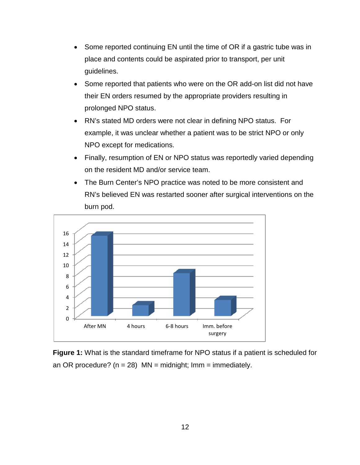- Some reported continuing EN until the time of OR if a gastric tube was in place and contents could be aspirated prior to transport, per unit guidelines.
- Some reported that patients who were on the OR add-on list did not have their EN orders resumed by the appropriate providers resulting in prolonged NPO status.
- RN's stated MD orders were not clear in defining NPO status. For example, it was unclear whether a patient was to be strict NPO or only NPO except for medications.
- Finally, resumption of EN or NPO status was reportedly varied depending on the resident MD and/or service team.
- The Burn Center's NPO practice was noted to be more consistent and RN's believed EN was restarted sooner after surgical interventions on the burn pod.



<span id="page-20-0"></span>**Figure 1:** What is the standard timeframe for NPO status if a patient is scheduled for an OR procedure? ( $n = 28$ ) MN = midnight; Imm = immediately.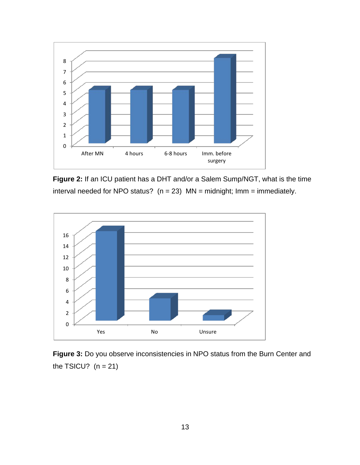

<span id="page-21-0"></span>**Figure 2:** If an ICU patient has a DHT and/or a Salem Sump/NGT, what is the time interval needed for NPO status?  $(n = 23)$  MN = midnight; Imm = immediately.



<span id="page-21-1"></span>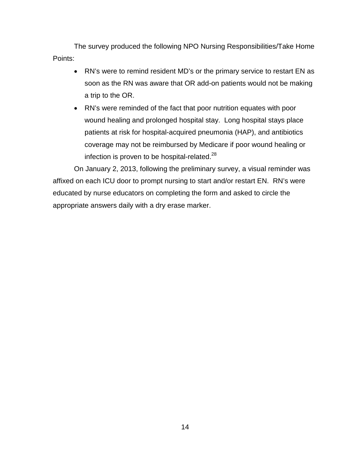The survey produced the following NPO Nursing Responsibilities/Take Home Points:

- RN's were to remind resident MD's or the primary service to restart EN as soon as the RN was aware that OR add-on patients would not be making a trip to the OR.
- RN's were reminded of the fact that poor nutrition equates with poor wound healing and prolonged hospital stay. Long hospital stays place patients at risk for hospital-acquired pneumonia (HAP), and antibiotics coverage may not be reimbursed by Medicare if poor wound healing or infection is proven to be hospital-related.<sup>28</sup>

On January 2, 2013, following the preliminary survey, a visual reminder was affixed on each ICU door to prompt nursing to start and/or restart EN. RN's were educated by nurse educators on completing the form and asked to circle the appropriate answers daily with a dry erase marker.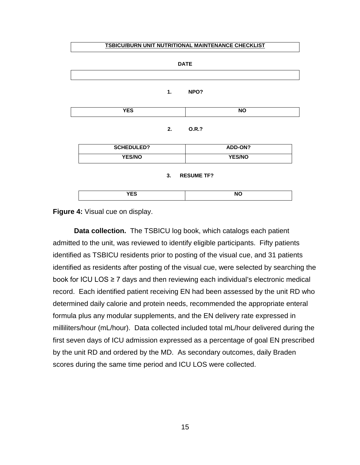#### **TSBICU/BURN UNIT NUTRITIONAL MAINTENANCE CHECKLIST**

| <b>DATE</b>             |                   |    |                 |  |
|-------------------------|-------------------|----|-----------------|--|
|                         |                   |    |                 |  |
|                         |                   | 1. | NPO?            |  |
|                         | <b>YES</b>        |    | <b>NO</b>       |  |
|                         |                   | 2. | 0.R.?           |  |
|                         | <b>SCHEDULED?</b> |    | ADD-ON?         |  |
|                         | YES/NO            |    | YES/NO          |  |
| 3.<br><b>RESUME TF?</b> |                   |    |                 |  |
|                         | <b>YES</b>        |    | $\overline{NO}$ |  |

<span id="page-23-1"></span>**Figure 4:** Visual cue on display.

<span id="page-23-0"></span>**Data collection.** The TSBICU log book, which catalogs each patient admitted to the unit, was reviewed to identify eligible participants. Fifty patients identified as TSBICU residents prior to posting of the visual cue, and 31 patients identified as residents after posting of the visual cue, were selected by searching the book for ICU LOS ≥ 7 days and then reviewing each individual's electronic medical record. Each identified patient receiving EN had been assessed by the unit RD who determined daily calorie and protein needs, recommended the appropriate enteral formula plus any modular supplements, and the EN delivery rate expressed in milliliters/hour (mL/hour). Data collected included total mL/hour delivered during the first seven days of ICU admission expressed as a percentage of goal EN prescribed by the unit RD and ordered by the MD. As secondary outcomes, daily Braden scores during the same time period and ICU LOS were collected.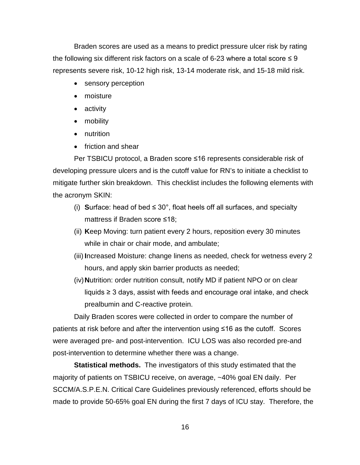Braden scores are used as a means to predict pressure ulcer risk by rating the following six different risk factors on a scale of 6-23 where a total score  $\leq 9$ represents severe risk, 10-12 high risk, 13-14 moderate risk, and 15-18 mild risk.

- sensory perception
- moisture
- activity
- mobility
- nutrition
- friction and shear

Per TSBICU protocol, a Braden score ≤16 represents considerable risk of developing pressure ulcers and is the cutoff value for RN's to initiate a checklist to mitigate further skin breakdown. This checklist includes the following elements with the acronym SKIN:

- (i) **Surface:** head of bed  $\leq 30^{\circ}$ , float heels off all surfaces, and specialty mattress if Braden score ≤18;
- (ii) **K**eep Moving: turn patient every 2 hours, reposition every 30 minutes while in chair or chair mode, and ambulate;
- (iii) **I**ncreased Moisture: change linens as needed, check for wetness every 2 hours, and apply skin barrier products as needed;
- (iv)**N**utrition: order nutrition consult, notify MD if patient NPO or on clear liquids ≥ 3 days, assist with feeds and encourage oral intake, and check prealbumin and C-reactive protein.

Daily Braden scores were collected in order to compare the number of patients at risk before and after the intervention using ≤16 as the cutoff. Scores were averaged pre- and post-intervention. ICU LOS was also recorded pre-and post-intervention to determine whether there was a change.

<span id="page-24-0"></span>**Statistical methods.** The investigators of this study estimated that the majority of patients on TSBICU receive, on average, ~40% goal EN daily. Per SCCM/A.S.P.E.N. Critical Care Guidelines previously referenced, efforts should be made to provide 50-65% goal EN during the first 7 days of ICU stay. Therefore, the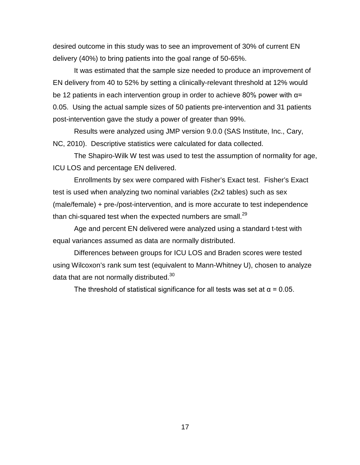desired outcome in this study was to see an improvement of 30% of current EN delivery (40%) to bring patients into the goal range of 50-65%.

It was estimated that the sample size needed to produce an improvement of EN delivery from 40 to 52% by setting a clinically-relevant threshold at 12% would be 12 patients in each intervention group in order to achieve 80% power with  $\alpha$ = 0.05. Using the actual sample sizes of 50 patients pre-intervention and 31 patients post-intervention gave the study a power of greater than 99%.

Results were analyzed using JMP version 9.0.0 (SAS Institute, Inc., Cary, NC, 2010). Descriptive statistics were calculated for data collected.

The Shapiro-Wilk W test was used to test the assumption of normality for age, ICU LOS and percentage EN delivered.

Enrollments by sex were compared with Fisher's Exact test. Fisher's Exact test is used when analyzing two nominal variables (2x2 tables) such as sex (male/female) + pre-/post-intervention, and is more accurate to test independence than chi-squared test when the expected numbers are small. $^{29}$ 

Age and percent EN delivered were analyzed using a standard t-test with equal variances assumed as data are normally distributed.

Differences between groups for ICU LOS and Braden scores were tested using Wilcoxon's rank sum test (equivalent to Mann-Whitney U), chosen to analyze data that are not normally distributed.<sup>30</sup>

The threshold of statistical significance for all tests was set at  $\alpha$  = 0.05.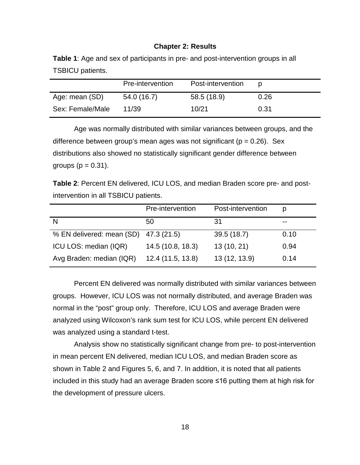#### **Chapter 2: Results**

<span id="page-26-1"></span><span id="page-26-0"></span>**Table 1**: Age and sex of participants in pre- and post-intervention groups in all TSBICU patients.

|                  | Pre-intervention | Post-intervention |      |
|------------------|------------------|-------------------|------|
| Age: mean (SD)   | 54.0 (16.7)      | 58.5 (18.9)       | 0.26 |
| Sex: Female/Male | 11/39            | 10/21             | 0.31 |

Age was normally distributed with similar variances between groups, and the difference between group's mean ages was not significant ( $p = 0.26$ ). Sex distributions also showed no statistically significant gender difference between groups ( $p = 0.31$ ).

<span id="page-26-2"></span>**Table 2**: Percent EN delivered, ICU LOS, and median Braden score pre- and postintervention in all TSBICU patients.

|                                       | Pre-intervention  | Post-intervention | D     |
|---------------------------------------|-------------------|-------------------|-------|
|                                       | 50                | 31                | $- -$ |
| % EN delivered: mean (SD) 47.3 (21.5) |                   | 39.5(18.7)        | 0.10  |
| ICU LOS: median (IQR)                 | 14.5 (10.8, 18.3) | 13(10, 21)        | 0.94  |
| Avg Braden: median (IQR)              | 12.4 (11.5, 13.8) | 13 (12, 13.9)     | 0.14  |

Percent EN delivered was normally distributed with similar variances between groups. However, ICU LOS was not normally distributed, and average Braden was normal in the "post" group only. Therefore, ICU LOS and average Braden were analyzed using Wilcoxon's rank sum test for ICU LOS, while percent EN delivered was analyzed using a standard t-test.

Analysis show no statistically significant change from pre- to post-intervention in mean percent EN delivered, median ICU LOS, and median Braden score as shown in Table 2 and Figures 5, 6, and 7. In addition, it is noted that all patients included in this study had an average Braden score ≤16 putting them at high risk for the development of pressure ulcers.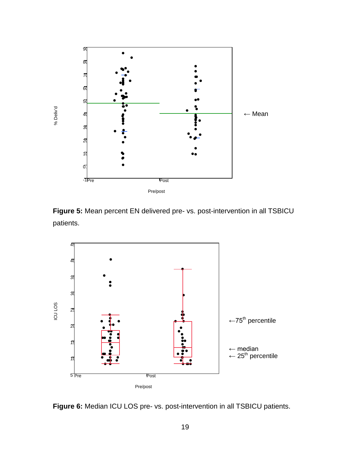

<span id="page-27-0"></span>**Figure 5:** Mean percent EN delivered pre- vs. post-intervention in all TSBICU patients.



<span id="page-27-1"></span>**Figure 6:** Median ICU LOS pre- vs. post-intervention in all TSBICU patients.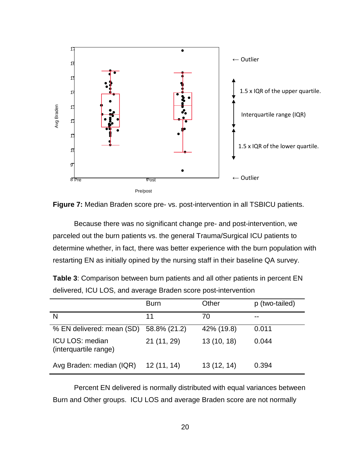

<span id="page-28-0"></span>

Because there was no significant change pre- and post-intervention, we parceled out the burn patients vs. the general Trauma/Surgical ICU patients to determine whether, in fact, there was better experience with the burn population with restarting EN as initially opined by the nursing staff in their baseline QA survey.

|                                          | <b>Burn</b>  | Other      | p (two-tailed) |
|------------------------------------------|--------------|------------|----------------|
|                                          | 11           | 70         | $- -$          |
| % EN delivered: mean (SD)                | 58.8% (21.2) | 42% (19.8) | 0.011          |
| ICU LOS: median<br>(interquartile range) | 21 (11, 29)  | 13(10, 18) | 0.044          |
| Avg Braden: median (IQR)                 | 12(11, 14)   | 13(12, 14) | 0.394          |

<span id="page-28-1"></span>**Table 3**: Comparison between burn patients and all other patients in percent EN delivered, ICU LOS, and average Braden score post-intervention

Percent EN delivered is normally distributed with equal variances between Burn and Other groups. ICU LOS and average Braden score are not normally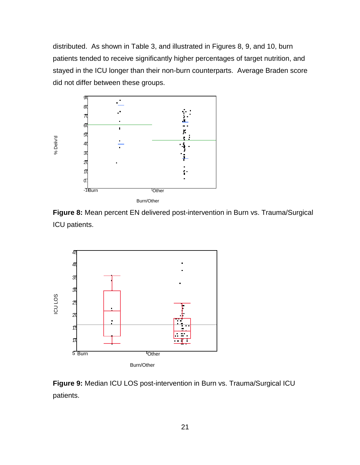distributed. As shown in Table 3, and illustrated in Figures 8, 9, and 10, burn patients tended to receive significantly higher percentages of target nutrition, and stayed in the ICU longer than their non-burn counterparts. Average Braden score did not differ between these groups.



<span id="page-29-0"></span>**Figure 8:** Mean percent EN delivered post-intervention in Burn vs. Trauma/Surgical ICU patients.



<span id="page-29-1"></span>**Figure 9:** Median ICU LOS post-intervention in Burn vs. Trauma/Surgical ICU patients.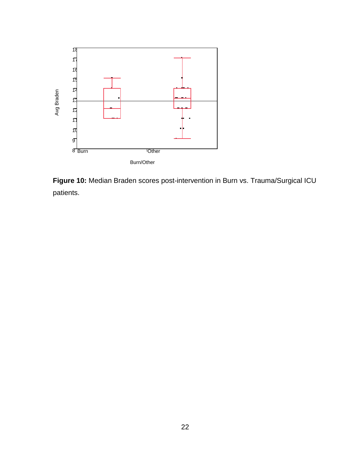

<span id="page-30-0"></span>**Figure 10:** Median Braden scores post-intervention in Burn vs. Trauma/Surgical ICU patients.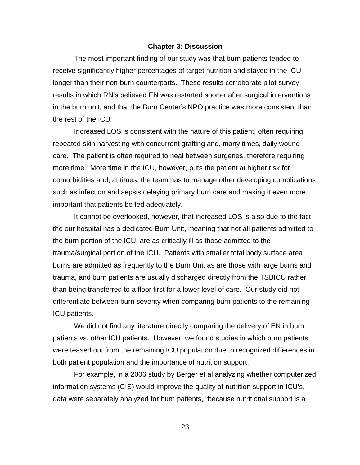#### **Chapter 3: Discussion**

<span id="page-31-0"></span>The most important finding of our study was that burn patients tended to receive significantly higher percentages of target nutrition and stayed in the ICU longer than their non-burn counterparts. These results corroborate pilot survey results in which RN's believed EN was restarted sooner after surgical interventions in the burn unit, and that the Burn Center's NPO practice was more consistent than the rest of the ICU.

Increased LOS is consistent with the nature of this patient, often requiring repeated skin harvesting with concurrent grafting and, many times, daily wound care. The patient is often required to heal between surgeries, therefore requiring more time. More time in the ICU, however, puts the patient at higher risk for comorbidities and, at times, the team has to manage other developing complications such as infection and sepsis delaying primary burn care and making it even more important that patients be fed adequately.

It cannot be overlooked, however, that increased LOS is also due to the fact the our hospital has a dedicated Burn Unit, meaning that not all patients admitted to the burn portion of the ICU are as critically ill as those admitted to the trauma/surgical portion of the ICU. Patients with smaller total body surface area burns are admitted as frequently to the Burn Unit as are those with large burns and trauma, and burn patients are usually discharged directly from the TSBICU rather than being transferred to a floor first for a lower level of care. Our study did not differentiate between burn severity when comparing burn patients to the remaining ICU patients.

We did not find any literature directly comparing the delivery of EN in burn patients vs. other ICU patients. However, we found studies in which burn patients were teased out from the remaining ICU population due to recognized differences in both patient population and the importance of nutrition support.

For example, in a 2006 study by Berger et al analyzing whether computerized information systems (CIS) would improve the quality of nutrition support in ICU's, data were separately analyzed for burn patients, "because nutritional support is a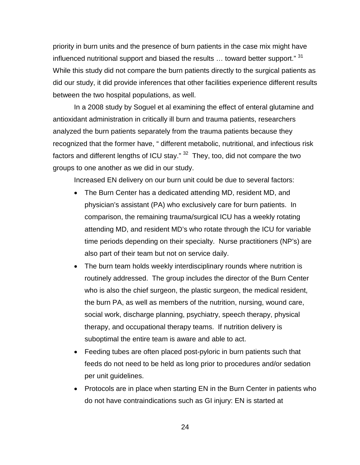priority in burn units and the presence of burn patients in the case mix might have influenced nutritional support and biased the results ... toward better support." 31 While this study did not compare the burn patients directly to the surgical patients as did our study, it did provide inferences that other facilities experience different results between the two hospital populations, as well.

In a 2008 study by Soguel et al examining the effect of enteral glutamine and antioxidant administration in critically ill burn and trauma patients, researchers analyzed the burn patients separately from the trauma patients because they recognized that the former have, " different metabolic, nutritional, and infectious risk factors and different lengths of ICU stay."  $32$  They, too, did not compare the two groups to one another as we did in our study.

Increased EN delivery on our burn unit could be due to several factors:

- The Burn Center has a dedicated attending MD, resident MD, and physician's assistant (PA) who exclusively care for burn patients. In comparison, the remaining trauma/surgical ICU has a weekly rotating attending MD, and resident MD's who rotate through the ICU for variable time periods depending on their specialty. Nurse practitioners (NP's) are also part of their team but not on service daily.
- The burn team holds weekly interdisciplinary rounds where nutrition is routinely addressed. The group includes the director of the Burn Center who is also the chief surgeon, the plastic surgeon, the medical resident, the burn PA, as well as members of the nutrition, nursing, wound care, social work, discharge planning, psychiatry, speech therapy, physical therapy, and occupational therapy teams. If nutrition delivery is suboptimal the entire team is aware and able to act.
- Feeding tubes are often placed post-pyloric in burn patients such that feeds do not need to be held as long prior to procedures and/or sedation per unit guidelines.
- Protocols are in place when starting EN in the Burn Center in patients who do not have contraindications such as GI injury: EN is started at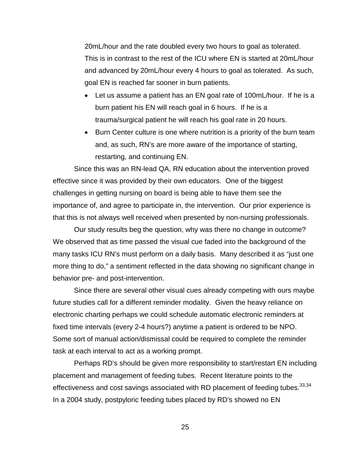20mL/hour and the rate doubled every two hours to goal as tolerated. This is in contrast to the rest of the ICU where EN is started at 20mL/hour and advanced by 20mL/hour every 4 hours to goal as tolerated. As such, goal EN is reached far sooner in burn patients.

- Let us assume a patient has an EN goal rate of 100mL/hour. If he is a burn patient his EN will reach goal in 6 hours. If he is a trauma/surgical patient he will reach his goal rate in 20 hours.
- Burn Center culture is one where nutrition is a priority of the burn team and, as such, RN's are more aware of the importance of starting, restarting, and continuing EN.

Since this was an RN-lead QA, RN education about the intervention proved effective since it was provided by their own educators. One of the biggest challenges in getting nursing on board is being able to have them see the importance of, and agree to participate in, the intervention. Our prior experience is that this is not always well received when presented by non-nursing professionals.

Our study results beg the question, why was there no change in outcome? We observed that as time passed the visual cue faded into the background of the many tasks ICU RN's must perform on a daily basis. Many described it as "just one more thing to do," a sentiment reflected in the data showing no significant change in behavior pre- and post-intervention.

Since there are several other visual cues already competing with ours maybe future studies call for a different reminder modality. Given the heavy reliance on electronic charting perhaps we could schedule automatic electronic reminders at fixed time intervals (every 2-4 hours?) anytime a patient is ordered to be NPO. Some sort of manual action/dismissal could be required to complete the reminder task at each interval to act as a working prompt.

Perhaps RD's should be given more responsibility to start/restart EN including placement and management of feeding tubes. Recent literature points to the effectiveness and cost savings associated with RD placement of feeding tubes.<sup>33,34</sup> In a 2004 study, postpyloric feeding tubes placed by RD's showed no EN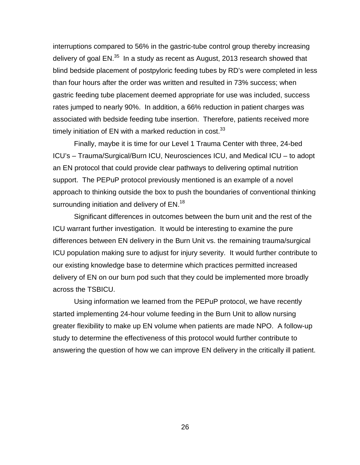interruptions compared to 56% in the gastric-tube control group thereby increasing delivery of goal EN.<sup>35</sup> In a study as recent as August, 2013 research showed that blind bedside placement of postpyloric feeding tubes by RD's were completed in less than four hours after the order was written and resulted in 73% success; when gastric feeding tube placement deemed appropriate for use was included, success rates jumped to nearly 90%. In addition, a 66% reduction in patient charges was associated with bedside feeding tube insertion. Therefore, patients received more timely initiation of EN with a marked reduction in cost.<sup>33</sup>

Finally, maybe it is time for our Level 1 Trauma Center with three, 24-bed ICU's – Trauma/Surgical/Burn ICU, Neurosciences ICU, and Medical ICU – to adopt an EN protocol that could provide clear pathways to delivering optimal nutrition support. The PEPuP protocol previously mentioned is an example of a novel approach to thinking outside the box to push the boundaries of conventional thinking surrounding initiation and delivery of EN.<sup>18</sup>

Significant differences in outcomes between the burn unit and the rest of the ICU warrant further investigation. It would be interesting to examine the pure differences between EN delivery in the Burn Unit vs. the remaining trauma/surgical ICU population making sure to adjust for injury severity. It would further contribute to our existing knowledge base to determine which practices permitted increased delivery of EN on our burn pod such that they could be implemented more broadly across the TSBICU.

Using information we learned from the PEPuP protocol, we have recently started implementing 24-hour volume feeding in the Burn Unit to allow nursing greater flexibility to make up EN volume when patients are made NPO. A follow-up study to determine the effectiveness of this protocol would further contribute to answering the question of how we can improve EN delivery in the critically ill patient.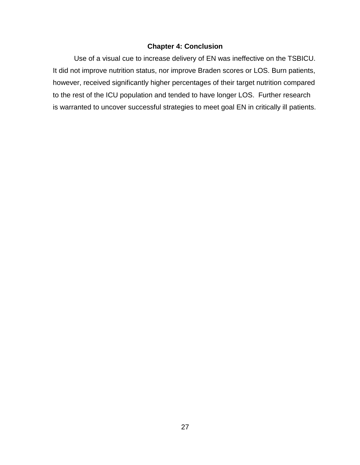## **Chapter 4: Conclusion**

<span id="page-35-0"></span>Use of a visual cue to increase delivery of EN was ineffective on the TSBICU. It did not improve nutrition status, nor improve Braden scores or LOS. Burn patients, however, received significantly higher percentages of their target nutrition compared to the rest of the ICU population and tended to have longer LOS. Further research is warranted to uncover successful strategies to meet goal EN in critically ill patients.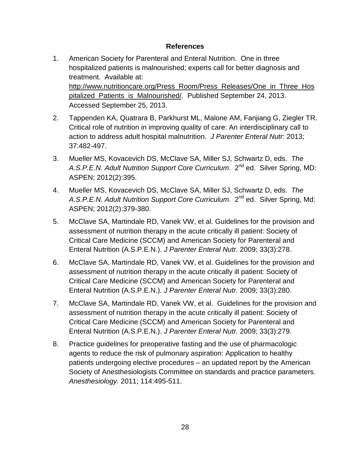## **References**

- <span id="page-36-0"></span>1. American Society for Parenteral and Enteral Nutrition. One in three hospitalized patients is malnourished; experts call for better diagnosis and treatment. Available at: [http://www.nutritioncare.org/Press\\_Room/Press\\_Releases/One\\_in\\_Three\\_Hos](http://www.nutritioncare.org/Press_Room/Press_Releases/One_in_Three_Hospitalized_Patients_is_Malnourished/) [pitalized\\_Patients\\_is\\_Malnourished/.](http://www.nutritioncare.org/Press_Room/Press_Releases/One_in_Three_Hospitalized_Patients_is_Malnourished/) Published September 24, 2013. Accessed September 25, 2013.
- 2. Tappenden KA, Quatrara B, Parkhurst ML, Malone AM, Fanjiang G, Ziegler TR. [Critical role of nutrition in improving quality of care: An interdisciplinary call to](http://pen.sagepub.com/content/37/4/482.short?rss=1&%3bssource=mfr)  [action to address adult hospital malnutrition.](http://pen.sagepub.com/content/37/4/482.short?rss=1&%3bssource=mfr) *J Parenter Enteral Nutr*: 2013; 37:482-497.
- 3. Mueller MS, Kovacevich DS, McClave SA, Miller SJ, Schwartz D, eds. *The A.S.P.E.N. Adult Nutrition Support Core Curriculum*. 2nd ed. Silver Spring, MD: ASPEN; 2012(2):395.
- 4. Mueller MS, Kovacevich DS, McClave SA, Miller SJ, Schwartz D, eds. *The*  A.S.P.E.N. Adult Nutrition Support Core Curriculum. 2<sup>nd</sup> ed. Silver Spring, Md: ASPEN; 2012(2):379-380.
- 5. McClave SA, Martindale RD, Vanek VW, et al. Guidelines for the provision and assessment of nutrition therapy in the acute critically ill patient: Society of Critical Care Medicine (SCCM) and American Society for Parenteral and Enteral Nutrition (A.S.P.E.N.). *J Parenter Enteral Nutr.* 2009; 33(3):278.
- 6. McClave SA, Martindale RD, Vanek VW, et al. Guidelines for the provision and assessment of nutrition therapy in the acute critically ill patient: Society of Critical Care Medicine (SCCM) and American Society for Parenteral and Enteral Nutrition (A.S.P.E.N.). *J Parenter Enteral Nutr.* 2009; 33(3):280.
- 7. McClave SA, Martindale RD, Vanek VW, et al. Guidelines for the provision and assessment of nutrition therapy in the acute critically ill patient: Society of Critical Care Medicine (SCCM) and American Society for Parenteral and Enteral Nutrition (A.S.P.E.N.). *J Parenter Enteral Nutr.* 2009; 33(3):279.
- 8. Practice guidelines for preoperative fasting and the use of pharmacologic agents to reduce the risk of pulmonary aspiration: Application to healthy patients undergoing elective procedures – an updated report by the American Society of Anesthesiologists Committee on standards and practice parameters. *Anesthesiology.* 2011; 114:495-511.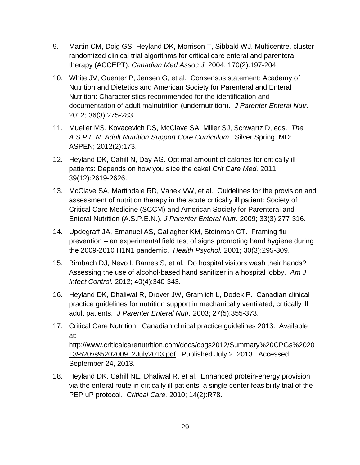- 9. Martin CM, Doig GS, Heyland DK, Morrison T, Sibbald WJ. Multicentre, clusterrandomized clinical trial algorithms for critical care enteral and parenteral therapy (ACCEPT). *Canadian Med Assoc J.* 2004; 170(2):197-204.
- 10. White JV, Guenter P, Jensen G, et al. Consensus statement: Academy of Nutrition and Dietetics and American Society for Parenteral and Enteral Nutrition: Characteristics recommended for the identification and documentation of adult malnutrition (undernutrition). *J Parenter Enteral Nutr.* 2012; 36(3):275-283.
- 11. Mueller MS, Kovacevich DS, McClave SA, Miller SJ, Schwartz D, eds. *The A.S.P.E.N. Adult Nutrition Support Core Curriculum*. Silver Spring, MD: ASPEN; 2012(2):173.
- 12. Heyland DK, Cahill N, Day AG. Optimal amount of calories for critically ill patients: Depends on how you slice the cake! *Crit Care Med.* 2011; 39(12):2619-2626.
- 13. McClave SA, Martindale RD, Vanek VW, et al. Guidelines for the provision and assessment of nutrition therapy in the acute critically ill patient: Society of Critical Care Medicine (SCCM) and American Society for Parenteral and Enteral Nutrition (A.S.P.E.N.). *J Parenter Enteral Nutr.* 2009; 33(3):277-316.
- 14. Updegraff JA, Emanuel AS, Gallagher KM, Steinman CT. Framing flu prevention – an experimental field test of signs promoting hand hygiene during the 2009-2010 H1N1 pandemic. *Health Psychol.* 2001; 30(3):295-309.
- 15. Birnbach DJ, Nevo I, Barnes S, et al. Do hospital visitors wash their hands? Assessing the use of alcohol-based hand sanitizer in a hospital lobby. *Am J Infect Control.* 2012; 40(4):340-343.
- 16. Heyland DK, Dhaliwal R, Drover JW, Gramlich L, Dodek P. Canadian clinical practice guidelines for nutrition support in mechanically ventilated, critically ill adult patients. *J Parenter Enteral Nutr.* 2003; 27(5):355-373.
- 17. Critical Care Nutrition. Canadian clinical practice guidelines 2013. Available at: [http://www.criticalcarenutrition.com/docs/cpgs2012/Summary%20CPGs%2020](http://www.criticalcarenutrition.com/docs/cpgs2012/Summary%20CPGs%202013%20vs%202009_2July2013.pdf) [13%20vs%202009\\_2July2013.pdf.](http://www.criticalcarenutrition.com/docs/cpgs2012/Summary%20CPGs%202013%20vs%202009_2July2013.pdf) Published July 2, 2013. Accessed September 24, 2013.
- 18. Heyland DK, Cahill NE, Dhaliwal R, et al. Enhanced protein-energy provision via the enteral route in critically ill patients: a single center feasibility trial of the PEP uP protocol. *Critical Care.* 2010; 14(2):R78.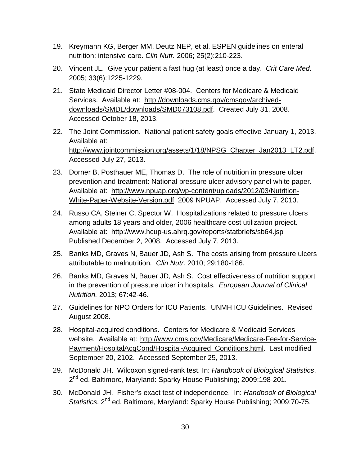- 19. Kreymann KG, Berger MM, Deutz NEP, et al. ESPEN guidelines on enteral nutrition: intensive care. *Clin Nutr.* 2006; 25(2):210-223.
- 20. Vincent JL. Give your patient a fast hug (at least) once a day. *Crit Care Med.* 2005; 33(6):1225-1229.
- 21. State Medicaid Director Letter #08-004. Centers for Medicare & Medicaid Services. Available at: [http://downloads.cms.gov/cmsgov/archived](http://downloads.cms.gov/cmsgov/archived-downloads/SMDL/downloads/SMD073108.pdf)[downloads/SMDL/downloads/SMD073108.pdf.](http://downloads.cms.gov/cmsgov/archived-downloads/SMDL/downloads/SMD073108.pdf) Created July 31, 2008. Accessed October 18, 2013.
- 22. The Joint Commission. National patient safety goals effective January 1, 2013. Available at: [http://www.jointcommission.org/assets/1/18/NPSG\\_Chapter\\_Jan2013\\_LT2.pdf.](http://www.jointcommission.org/assets/1/18/NPSG_Chapter_Jan2013_LT2.pdf) Accessed July 27, 2013.
- 23. Dorner B, Posthauer ME, Thomas D. The role of nutrition in pressure ulcer prevention and treatment: National pressure ulcer advisory panel white paper. Available at: [http://www.npuap.org/wp-content/uploads/2012/03/Nutrition-](http://www.npuap.org/wp-content/uploads/2012/03/Nutrition-White-Paper-Website-Version.pdf)[White-Paper-Website-Version.pdf](http://www.npuap.org/wp-content/uploads/2012/03/Nutrition-White-Paper-Website-Version.pdf) 2009 NPUAP. Accessed July 7, 2013.
- 24. Russo CA, Steiner C, Spector W. Hospitalizations related to pressure ulcers among adults 18 years and older, 2006 healthcare cost utilization project. Available at: <http://www.hcup-us.ahrq.gov/reports/statbriefs/sb64.jsp> Published December 2, 2008. Accessed July 7, 2013.
- 25. Banks MD, Graves N, Bauer JD, Ash S. The costs arising from pressure ulcers attributable to malnutrition*. Clin Nutr.* 2010; 29:180-186.
- 26. Banks MD, Graves N, Bauer JD, Ash S. Cost effectiveness of nutrition support in the prevention of pressure ulcer in hospitals. *European Journal of Clinical Nutrition.* 2013; 67:42-46.
- 27. Guidelines for NPO Orders for ICU Patients. UNMH ICU Guidelines. Revised August 2008.
- 28. Hospital-acquired conditions. Centers for Medicare & Medicaid Services website. Available at: [http://www.cms.gov/Medicare/Medicare-Fee-for-Service-](http://www.cms.gov/Medicare/Medicare-Fee-for-Service-Payment/HospitalAcqCond/Hospital-Acquired_Conditions.html)[Payment/HospitalAcqCond/Hospital-Acquired\\_Conditions.html.](http://www.cms.gov/Medicare/Medicare-Fee-for-Service-Payment/HospitalAcqCond/Hospital-Acquired_Conditions.html) Last modified September 20, 2102. Accessed September 25, 2013.
- 29. McDonald JH. Wilcoxon signed-rank test. In: *Handbook of Biological Statistics*. 2<sup>nd</sup> ed. Baltimore, Maryland: Sparky House Publishing; 2009:198-201.
- 30. McDonald JH. Fisher's exact test of independence. In: *Handbook of Biological Statistics*. 2nd ed. Baltimore, Maryland: Sparky House Publishing; 2009:70-75.